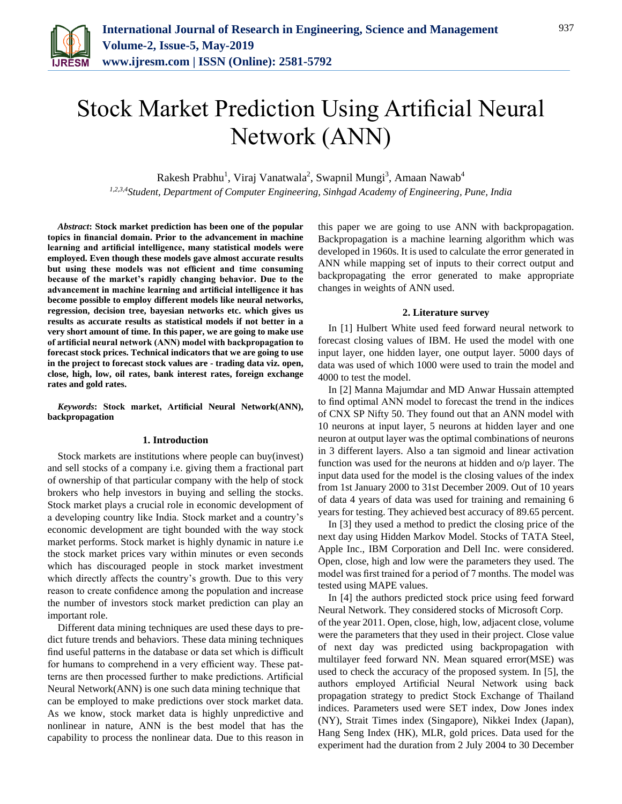

# Stock Market Prediction Using Artificial Neural Network (ANN)

Rakesh Prabhu<sup>1</sup>, Viraj Vanatwala<sup>2</sup>, Swapnil Mungi<sup>3</sup>, Amaan Nawab<sup>4</sup> *1,2,3,4Student, Department of Computer Engineering, Sinhgad Academy of Engineering, Pune, India*

*Abstract***: Stock market prediction has been one of the popular topics in financial domain. Prior to the advancement in machine learning and artificial intelligence, many statistical models were employed. Even though these models gave almost accurate results but using these models was not efficient and time consuming because of the market's rapidly changing behavior. Due to the advancement in machine learning and artificial intelligence it has become possible to employ different models like neural networks, regression, decision tree, bayesian networks etc. which gives us results as accurate results as statistical models if not better in a very short amount of time. In this paper, we are going to make use of artificial neural network (ANN) model with backpropagation to forecast stock prices. Technical indicators that we are going to use in the project to forecast stock values are - trading data viz. open, close, high, low, oil rates, bank interest rates, foreign exchange rates and gold rates.**

*Keywords***: Stock market, Artificial Neural Network(ANN), backpropagation**

#### **1. Introduction**

Stock markets are institutions where people can buy(invest) and sell stocks of a company i.e. giving them a fractional part of ownership of that particular company with the help of stock brokers who help investors in buying and selling the stocks. Stock market plays a crucial role in economic development of a developing country like India. Stock market and a country's economic development are tight bounded with the way stock market performs. Stock market is highly dynamic in nature i.e the stock market prices vary within minutes or even seconds which has discouraged people in stock market investment which directly affects the country's growth. Due to this very reason to create confidence among the population and increase the number of investors stock market prediction can play an important role.

Different data mining techniques are used these days to predict future trends and behaviors. These data mining techniques find useful patterns in the database or data set which is difficult for humans to comprehend in a very efficient way. These patterns are then processed further to make predictions. Artificial Neural Network(ANN) is one such data mining technique that can be employed to make predictions over stock market data. As we know, stock market data is highly unpredictive and nonlinear in nature, ANN is the best model that has the capability to process the nonlinear data. Due to this reason in this paper we are going to use ANN with backpropagation. Backpropagation is a machine learning algorithm which was developed in 1960s. It is used to calculate the error generated in ANN while mapping set of inputs to their correct output and backpropagating the error generated to make appropriate changes in weights of ANN used.

### **2. Literature survey**

In [1] Hulbert White used feed forward neural network to forecast closing values of IBM. He used the model with one input layer, one hidden layer, one output layer. 5000 days of data was used of which 1000 were used to train the model and 4000 to test the model.

In [2] Manna Majumdar and MD Anwar Hussain attempted to find optimal ANN model to forecast the trend in the indices of CNX SP Nifty 50. They found out that an ANN model with 10 neurons at input layer, 5 neurons at hidden layer and one neuron at output layer was the optimal combinations of neurons in 3 different layers. Also a tan sigmoid and linear activation function was used for the neurons at hidden and o/p layer. The input data used for the model is the closing values of the index from 1st January 2000 to 31st December 2009. Out of 10 years of data 4 years of data was used for training and remaining 6 years for testing. They achieved best accuracy of 89.65 percent.

In [3] they used a method to predict the closing price of the next day using Hidden Markov Model. Stocks of TATA Steel, Apple Inc., IBM Corporation and Dell Inc. were considered. Open, close, high and low were the parameters they used. The model was first trained for a period of 7 months. The model was tested using MAPE values.

In [4] the authors predicted stock price using feed forward Neural Network. They considered stocks of Microsoft Corp.

of the year 2011. Open, close, high, low, adjacent close, volume were the parameters that they used in their project. Close value of next day was predicted using backpropagation with multilayer feed forward NN. Mean squared error(MSE) was used to check the accuracy of the proposed system. In [5], the authors employed Artificial Neural Network using back propagation strategy to predict Stock Exchange of Thailand indices. Parameters used were SET index, Dow Jones index (NY), Strait Times index (Singapore), Nikkei Index (Japan), Hang Seng Index (HK), MLR, gold prices. Data used for the experiment had the duration from 2 July 2004 to 30 December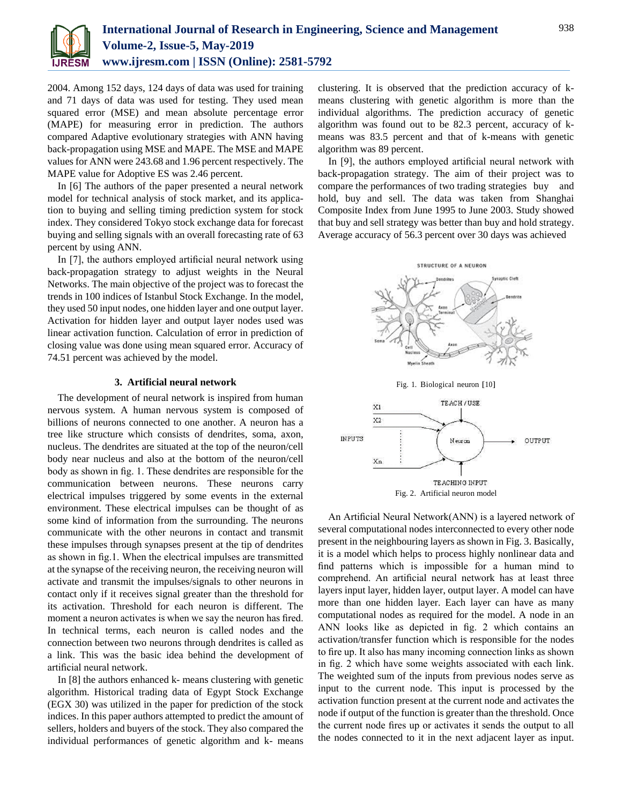

2004. Among 152 days, 124 days of data was used for training and 71 days of data was used for testing. They used mean squared error (MSE) and mean absolute percentage error (MAPE) for measuring error in prediction. The authors compared Adaptive evolutionary strategies with ANN having back-propagation using MSE and MAPE. The MSE and MAPE values for ANN were 243.68 and 1.96 percent respectively. The MAPE value for Adoptive ES was 2.46 percent.

In [6] The authors of the paper presented a neural network model for technical analysis of stock market, and its application to buying and selling timing prediction system for stock index. They considered Tokyo stock exchange data for forecast buying and selling signals with an overall forecasting rate of 63 percent by using ANN.

In [7], the authors employed artificial neural network using back-propagation strategy to adjust weights in the Neural Networks. The main objective of the project was to forecast the trends in 100 indices of Istanbul Stock Exchange. In the model, they used 50 input nodes, one hidden layer and one output layer. Activation for hidden layer and output layer nodes used was linear activation function. Calculation of error in prediction of closing value was done using mean squared error. Accuracy of 74.51 percent was achieved by the model.

#### **3. Artificial neural network**

The development of neural network is inspired from human nervous system. A human nervous system is composed of billions of neurons connected to one another. A neuron has a tree like structure which consists of dendrites, soma, axon, nucleus. The dendrites are situated at the top of the neuron/cell body near nucleus and also at the bottom of the neuron/cell body as shown in fig. 1. These dendrites are responsible for the communication between neurons. These neurons carry electrical impulses triggered by some events in the external environment. These electrical impulses can be thought of as some kind of information from the surrounding. The neurons communicate with the other neurons in contact and transmit these impulses through synapses present at the tip of dendrites as shown in fig.1. When the electrical impulses are transmitted at the synapse of the receiving neuron, the receiving neuron will activate and transmit the impulses/signals to other neurons in contact only if it receives signal greater than the threshold for its activation. Threshold for each neuron is different. The moment a neuron activates is when we say the neuron has fired. In technical terms, each neuron is called nodes and the connection between two neurons through dendrites is called as a link. This was the basic idea behind the development of artificial neural network.

In [8] the authors enhanced k- means clustering with genetic algorithm. Historical trading data of Egypt Stock Exchange (EGX 30) was utilized in the paper for prediction of the stock indices. In this paper authors attempted to predict the amount of sellers, holders and buyers of the stock. They also compared the individual performances of genetic algorithm and k- means

clustering. It is observed that the prediction accuracy of kmeans clustering with genetic algorithm is more than the individual algorithms. The prediction accuracy of genetic algorithm was found out to be 82.3 percent, accuracy of kmeans was 83.5 percent and that of k-means with genetic algorithm was 89 percent.

In [9], the authors employed artificial neural network with back-propagation strategy. The aim of their project was to compare the performances of two trading strategies buy and hold, buy and sell. The data was taken from Shanghai Composite Index from June 1995 to June 2003. Study showed that buy and sell strategy was better than buy and hold strategy. Average accuracy of 56.3 percent over 30 days was achieved



An Artificial Neural Network(ANN) is a layered network of several computational nodes interconnected to every other node present in the neighbouring layers as shown in Fig. 3. Basically, it is a model which helps to process highly nonlinear data and find patterns which is impossible for a human mind to comprehend. An artificial neural network has at least three layers input layer, hidden layer, output layer. A model can have more than one hidden layer. Each layer can have as many computational nodes as required for the model. A node in an ANN looks like as depicted in fig. 2 which contains an activation/transfer function which is responsible for the nodes to fire up. It also has many incoming connection links as shown in fig. 2 which have some weights associated with each link. The weighted sum of the inputs from previous nodes serve as input to the current node. This input is processed by the activation function present at the current node and activates the node if output of the function is greater than the threshold. Once the current node fires up or activates it sends the output to all the nodes connected to it in the next adjacent layer as input.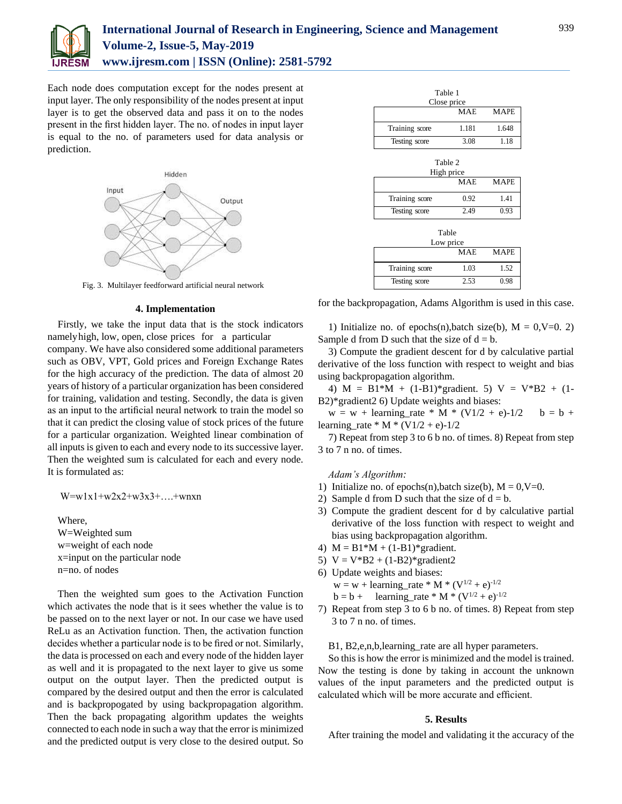

Each node does computation except for the nodes present at input layer. The only responsibility of the nodes present at input layer is to get the observed data and pass it on to the nodes present in the first hidden layer. The no. of nodes in input layer is equal to the no. of parameters used for data analysis or prediction.



Fig. 3. Multilayer feedforward artificial neural network

#### **4. Implementation**

Firstly, we take the input data that is the stock indicators namelyhigh, low, open, close prices for a particular company. We have also considered some additional parameters such as OBV, VPT, Gold prices and Foreign Exchange Rates for the high accuracy of the prediction. The data of almost 20 years of history of a particular organization has been considered for training, validation and testing. Secondly, the data is given as an input to the artificial neural network to train the model so that it can predict the closing value of stock prices of the future for a particular organization. Weighted linear combination of all inputs is given to each and every node to its successive layer. Then the weighted sum is calculated for each and every node. It is formulated as:

 $W = w1x1 + w2x2 + w3x3 + ... + wnxn$ 

Where, W=Weighted sum w=weight of each node x=input on the particular node n=no. of nodes

Then the weighted sum goes to the Activation Function which activates the node that is it sees whether the value is to be passed on to the next layer or not. In our case we have used ReLu as an Activation function. Then, the activation function decides whether a particular node is to be fired or not. Similarly, the data is processed on each and every node of the hidden layer as well and it is propagated to the next layer to give us some output on the output layer. Then the predicted output is compared by the desired output and then the error is calculated and is backpropogated by using backpropagation algorithm. Then the back propagating algorithm updates the weights connected to each node in such a way that the error is minimized and the predicted output is very close to the desired output. So

| Table 1        |            |             |
|----------------|------------|-------------|
| Close price    |            |             |
|                | <b>MAE</b> | <b>MAPE</b> |
| Training score | 1.181      | 1.648       |
| Testing score  | 3.08       | 1.18        |
| Table 2        |            |             |
| High price     |            |             |
|                | <b>MAE</b> | <b>MAPE</b> |
| Training score | 0.92       | 1.41        |
| Testing score  | 2.49       | 0.93        |
| Table          |            |             |
| Low price      |            |             |
|                | <b>MAE</b> | <b>MAPE</b> |
| Training score | 1.03       | 1.52        |
| Testing score  | 2.53       | 0.98        |

for the backpropagation, Adams Algorithm is used in this case.

1) Initialize no. of epochs(n),batch size(b),  $M = 0, V=0, 2$ ) Sample d from D such that the size of  $d = b$ .

3) Compute the gradient descent for d by calculative partial derivative of the loss function with respect to weight and bias using backpropagation algorithm.

4) M = B1\*M +  $(1-B1)$ \*gradient. 5) V = V\*B2 +  $(1-A)$ B2)\*gradient2 6) Update weights and biases:

 $w = w + learning_rate * M * (V1/2 + e)-1/2$   $b = b +$ learning rate \* M \* (V1/2 + e)-1/2

7) Repeat from step 3 to 6 b no. of times. 8) Repeat from step 3 to 7 n no. of times.

#### *Adam's Algorithm:*

- 1) Initialize no. of epochs(n),batch size(b),  $M = 0$ ,  $V=0$ .
- 2) Sample d from D such that the size of  $d = b$ .
- 3) Compute the gradient descent for d by calculative partial derivative of the loss function with respect to weight and bias using backpropagation algorithm.
- 4)  $M = B1*M + (1-B1)*gradient.$
- 5)  $V = V*B2 + (1-B2)*gradient2$
- 6) Update weights and biases:  $w = w + learning\_rate * M * (V^{1/2} + e)^{-1/2}$  $b = b +$  learning\_rate \* M \* (V<sup>1/2</sup> + e)<sup>-1/2</sup>
- 7) Repeat from step 3 to 6 b no. of times. 8) Repeat from step 3 to 7 n no. of times.

B1, B2,e,n,b,learning\_rate are all hyper parameters.

So this is how the error is minimized and the model is trained. Now the testing is done by taking in account the unknown values of the input parameters and the predicted output is calculated which will be more accurate and efficient.

## **5. Results**

After training the model and validating it the accuracy of the